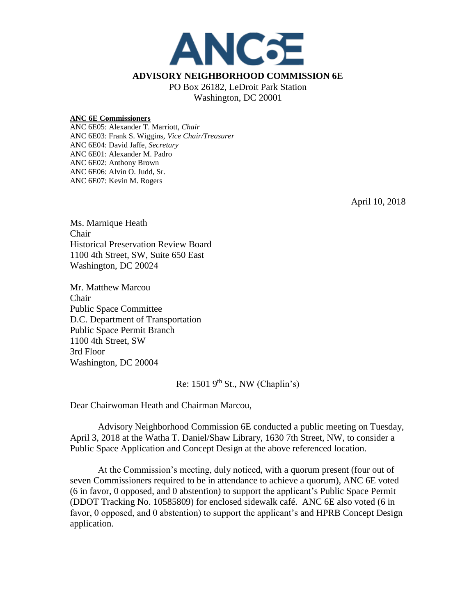

## **ADVISORY NEIGHBORHOOD COMMISSION 6E**

PO Box 26182, LeDroit Park Station Washington, DC 20001

## **ANC 6E Commissioners**

ANC 6E05: Alexander T. Marriott, *Chair* ANC 6E03: Frank S. Wiggins, *Vice Chair/Treasurer* ANC 6E04: David Jaffe, *Secretary* ANC 6E01: Alexander M. Padro ANC 6E02: Anthony Brown ANC 6E06: Alvin O. Judd, Sr. ANC 6E07: Kevin M. Rogers

April 10, 2018

Ms. Marnique Heath Chair Historical Preservation Review Board 1100 4th Street, SW, Suite 650 East Washington, DC 20024

Mr. Matthew Marcou Chair Public Space Committee D.C. Department of Transportation Public Space Permit Branch 1100 4th Street, SW 3rd Floor Washington, DC 20004

Re:  $15019^{\text{th}}$  St., NW (Chaplin's)

Dear Chairwoman Heath and Chairman Marcou,

Advisory Neighborhood Commission 6E conducted a public meeting on Tuesday, April 3, 2018 at the Watha T. Daniel/Shaw Library, 1630 7th Street, NW, to consider a Public Space Application and Concept Design at the above referenced location.

At the Commission's meeting, duly noticed, with a quorum present (four out of seven Commissioners required to be in attendance to achieve a quorum), ANC 6E voted (6 in favor, 0 opposed, and 0 abstention) to support the applicant's Public Space Permit (DDOT Tracking No. 10585809) for enclosed sidewalk café. ANC 6E also voted (6 in favor, 0 opposed, and 0 abstention) to support the applicant's and HPRB Concept Design application.